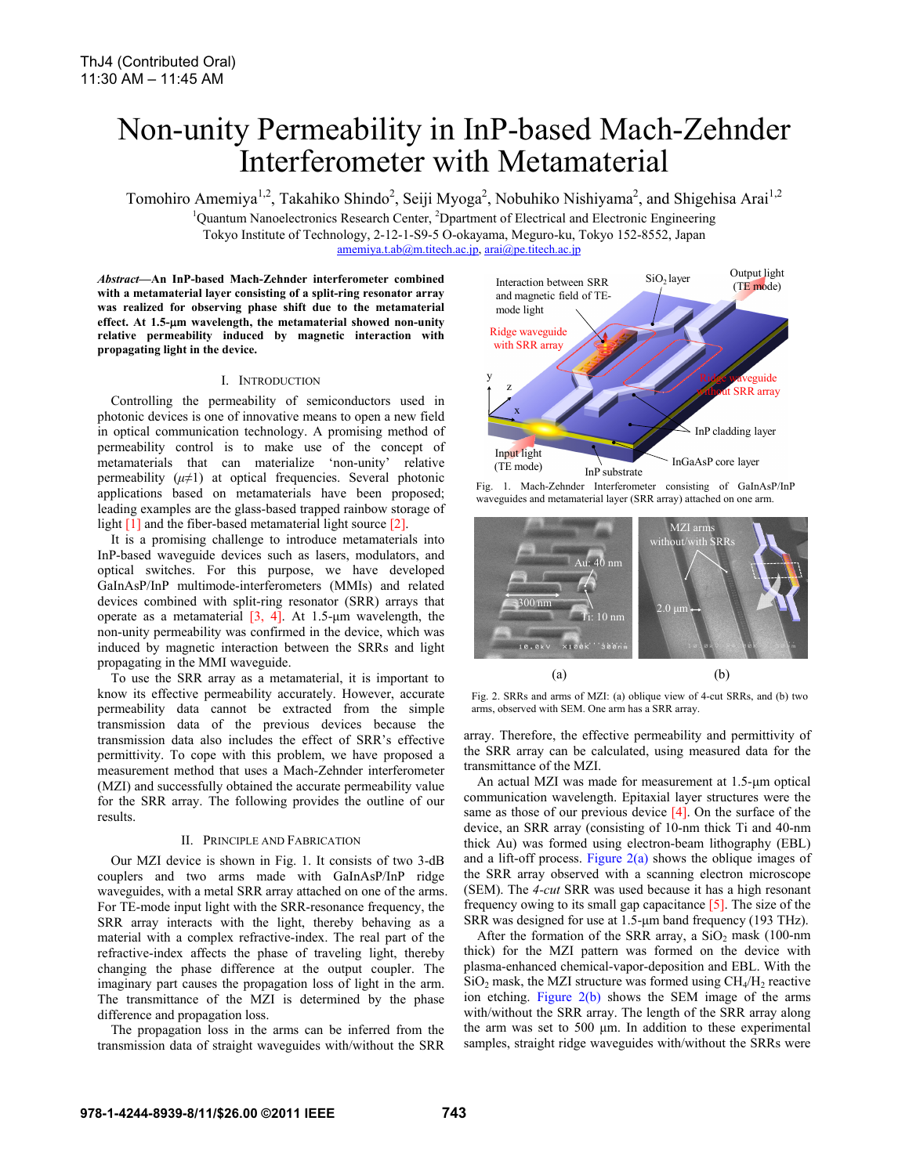# Non-unity Permeability in InP-based Mach-Zehnder Interferometer with Metamaterial

Tomohiro Amemiya<sup>1,2</sup>, Takahiko Shindo<sup>2</sup>, Seiji Myoga<sup>2</sup>, Nobuhiko Nishiyama<sup>2</sup>, and Shigehisa Arai<sup>1,2</sup>

<sup>1</sup>Quantum Nanoelectronics Research Center, <sup>2</sup>Dpartment of Electrical and Electronic Engineering Tokyo Institute of Technology, 2-12-1-S9-5 O-okayama, Meguro-ku, Tokyo 152-8552, Japan

amemiya.t.ab@m.titech.ac.jp, arai@pe.titech.ac.jp

*Abstract***—An InP-based Mach-Zehnder interferometer combined with a metamaterial layer consisting of a split-ring resonator array was realized for observing phase shift due to the metamaterial effect. At 1.5-m wavelength, the metamaterial showed non-unity relative permeability induced by magnetic interaction with propagating light in the device.** 

## I. INTRODUCTION

Controlling the permeability of semiconductors used in photonic devices is one of innovative means to open a new field in optical communication technology. A promising method of permeability control is to make use of the concept of metamaterials that can materialize 'non-unity' relative permeability  $(\mu \neq 1)$  at optical frequencies. Several photonic applications based on metamaterials have been proposed; leading examples are the glass-based trapped rainbow storage of light [1] and the fiber-based metamaterial light source [2].

It is a promising challenge to introduce metamaterials into InP-based waveguide devices such as lasers, modulators, and optical switches. For this purpose, we have developed GaInAsP/InP multimode-interferometers (MMIs) and related devices combined with split-ring resonator (SRR) arrays that operate as a metamaterial  $[3, 4]$ . At 1.5-μm wavelength, the non-unity permeability was confirmed in the device, which was induced by magnetic interaction between the SRRs and light propagating in the MMI waveguide.

To use the SRR array as a metamaterial, it is important to know its effective permeability accurately. However, accurate permeability data cannot be extracted from the simple transmission data of the previous devices because the transmission data also includes the effect of SRR's effective permittivity. To cope with this problem, we have proposed a measurement method that uses a Mach-Zehnder interferometer (MZI) and successfully obtained the accurate permeability value for the SRR array. The following provides the outline of our results.

# II. PRINCIPLE AND FABRICATION

Our MZI device is shown in Fig. 1. It consists of two 3-dB couplers and two arms made with GaInAsP/InP ridge waveguides, with a metal SRR array attached on one of the arms. For TE-mode input light with the SRR-resonance frequency, the SRR array interacts with the light, thereby behaving as a material with a complex refractive-index. The real part of the refractive-index affects the phase of traveling light, thereby changing the phase difference at the output coupler. The imaginary part causes the propagation loss of light in the arm. The transmittance of the MZI is determined by the phase difference and propagation loss.

The propagation loss in the arms can be inferred from the transmission data of straight waveguides with/without the SRR



Fig. 1. Mach-Zehnder Interferometer consisting of GaInAsP/InP waveguides and metamaterial layer (SRR array) attached on one arm.



Fig. 2. SRRs and arms of MZI: (a) oblique view of 4-cut SRRs, and (b) two arms, observed with SEM. One arm has a SRR array.

array. Therefore, the effective permeability and permittivity of the SRR array can be calculated, using measured data for the transmittance of the MZI.

An actual MZI was made for measurement at 1.5-μm optical communication wavelength. Epitaxial layer structures were the same as those of our previous device  $[4]$ . On the surface of the device, an SRR array (consisting of 10-nm thick Ti and 40-nm thick Au) was formed using electron-beam lithography (EBL) and a lift-off process. Figure  $2(a)$  shows the oblique images of the SRR array observed with a scanning electron microscope (SEM). The *4-cut* SRR was used because it has a high resonant frequency owing to its small gap capacitance [5]. The size of the SRR was designed for use at 1.5-μm band frequency (193 THz).

After the formation of the SRR array, a  $SiO<sub>2</sub>$  mask (100-nm) thick) for the MZI pattern was formed on the device with plasma-enhanced chemical-vapor-deposition and EBL. With the  $SiO<sub>2</sub>$  mask, the MZI structure was formed using  $CH<sub>4</sub>/H<sub>2</sub>$  reactive ion etching. Figure 2(b) shows the SEM image of the arms with/without the SRR array. The length of the SRR array along the arm was set to 500 μm. In addition to these experimental samples, straight ridge waveguides with/without the SRRs were